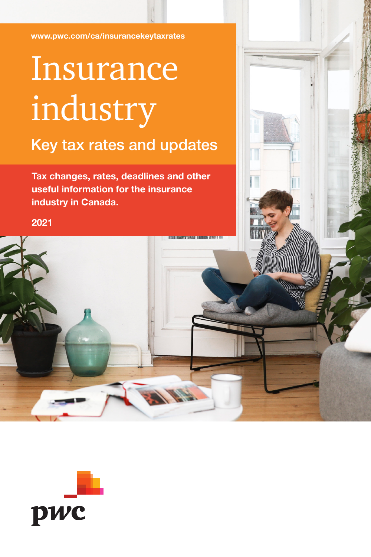[www.pwc.com/ca/insurancekeytaxrates](http://www.pwc.com/ca/insurancekeytaxrates)

## Insurance industry Key tax rates and updates

Tax changes, rates, deadlines and other useful information for the insurance industry in Canada.

2021

pwc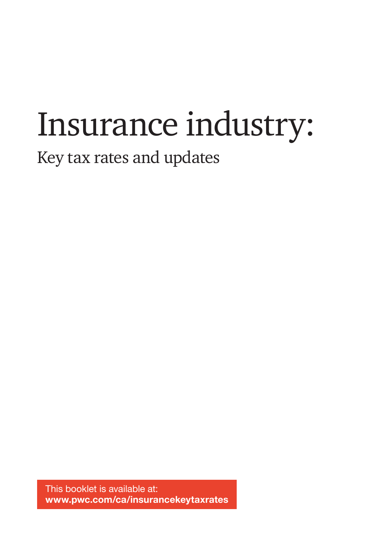# Insurance industry:

## Key tax rates and updates

This booklet is available at: www.pwc.com/ca/insurancekeytaxrates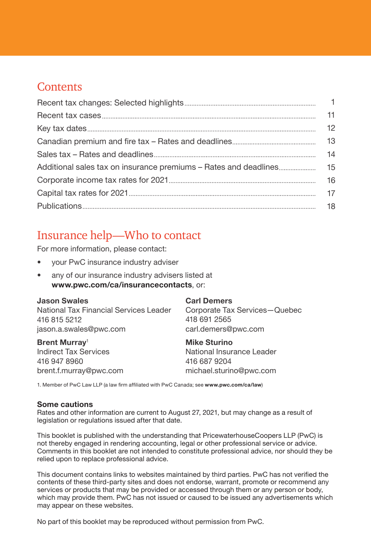## **Contents**

| 12 |
|----|
|    |
|    |
|    |
| 16 |
|    |
|    |

## Insurance help—Who to contact

For more information, please contact:

- your PwC insurance industry adviser
- any of our insurance industry advisers listed at [www.pwc.com/ca/insurancecontacts](https://www.pwc.com/ca/en/industries/financial-services/local-contacts.html), or:

| <b>Jason Swales</b>                    | Car  |
|----------------------------------------|------|
| National Tax Financial Services Leader | Cor  |
| 416 815 5212                           | 418  |
| jason.a.swales@pwc.com                 | carl |

Brent Murrav<sup>1</sup> Indirect Tax Services 416 947 8960 brent.f.murray@pwc.com

#### I Demers

porate Tax Services-Quebec 691 2565 .demers@pwc.com

#### Mike Sturino

National Insurance Leader 416 687 9204 [michael.sturino@pwc.com](mailto:michael.sturino@pwc.com)

1. Member of PwC Law LLP (a law firm affiliated with PwC Canada; see [www.pwc.com/ca/law](http://www.pwc.com/ca/law))

#### Some cautions

Rates and other information are current to August 27, 2021, but may change as a result of legislation or regulations issued after that date.

This booklet is published with the understanding that PricewaterhouseCoopers LLP (PwC) is not thereby engaged in rendering accounting, legal or other professional service or advice. Comments in this booklet are not intended to constitute professional advice, nor should they be relied upon to replace professional advice.

This document contains links to websites maintained by third parties. PwC has not verified the contents of these third-party sites and does not endorse, warrant, promote or recommend any services or products that may be provided or accessed through them or any person or body, which may provide them. PwC has not issued or caused to be issued any advertisements which may appear on these websites.

No part of this booklet may be reproduced without permission from PwC.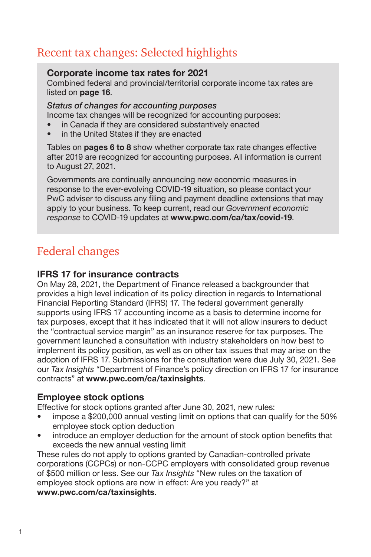## <span id="page-3-0"></span>Recent tax changes: Selected highlights

### Corporate income tax rates for 2021

Combined federal and provincial/territorial corporate income tax rates are listed on [page 16](#page-18-0).

## *Status of changes for accounting purposes*

Income tax changes will be recognized for accounting purposes:

- in Canada if they are considered substantively enacted
- in the United States if they are enacted

Tables on **[pages](#page-7-0) [6](#page-8-0) to [8](#page-10-0)** show whether corporate tax rate changes effective after 2019 are recognized for accounting purposes. All information is current to August 27, 2021.

Governments are continually announcing new economic measures in response to the ever-evolving COVID-19 situation, so please contact your PwC adviser to discuss any filing and payment deadline extensions that may apply to your business. To keep current, read our *Government economic response* to COVID-19 updates at [www.pwc.com/ca/tax/covid-19](http://www.pwc.com/ca/tax/covid-19).

## Federal changes

## IFRS 17 for insurance contracts

On May 28, 2021, the Department of Finance released a backgrounder that provides a high level indication of its policy direction in regards to International Financial Reporting Standard (IFRS) 17. The federal government generally supports using IFRS 17 accounting income as a basis to determine income for tax purposes, except that it has indicated that it will not allow insurers to deduct the "contractual service margin" as an insurance reserve for tax purposes. The government launched a consultation with industry stakeholders on how best to implement its policy position, as well as on other tax issues that may arise on the adoption of IFRS 17. Submissions for the consultation were due July 30, 2021. See our *Tax Insights* "Department of Finance's policy direction on IFRS 17 for insurance contracts" at [www.pwc.com/ca/taxinsights](http://www.pwc.com/ca/taxinsights).

## Employee stock options

Effective for stock options granted after June 30, 2021, new rules:

- impose a \$200,000 annual vesting limit on options that can qualify for the 50% employee stock option deduction
- introduce an employer deduction for the amount of stock option benefits that exceeds the new annual vesting limit

These rules do not apply to options granted by Canadian-controlled private corporations (CCPCs) or non-CCPC employers with consolidated group revenue of \$500 million or less. See our *Tax Insights* "New rules on the taxation of employee stock options are now in effect: Are you ready?" at [www.pwc.com/ca/taxinsights](http://www.pwc.com/ca/taxinsights).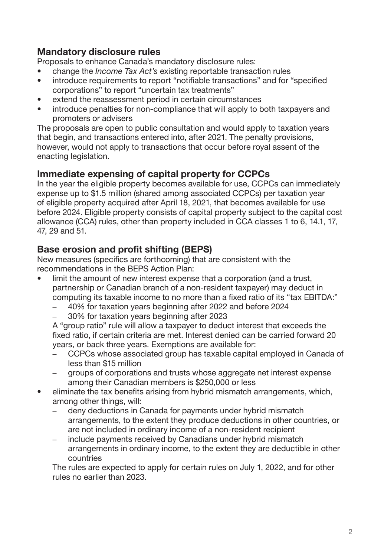## Mandatory disclosure rules

Proposals to enhance Canada's mandatory disclosure rules:

- change the *Income Tax Act's* existing reportable transaction rules
- introduce requirements to report "notifiable transactions" and for "specified corporations" to report "uncertain tax treatments"
- extend the reassessment period in certain circumstances
- introduce penalties for non-compliance that will apply to both taxpayers and promoters or advisers

The proposals are open to public consultation and would apply to taxation years that begin, and transactions entered into, after 2021. The penalty provisions, however, would not apply to transactions that occur before royal assent of the enacting legislation.

## Immediate expensing of capital property for CCPCs

In the year the eligible property becomes available for use, CCPCs can immediately expense up to \$1.5 million (shared among associated CCPCs) per taxation year of eligible property acquired after April 18, 2021, that becomes available for use before 2024. Eligible property consists of capital property subject to the capital cost allowance (CCA) rules, other than property included in CCA classes 1 to 6, 14.1, 17, 47, 29 and 51.

## Base erosion and profit shifting (BEPS)

New measures (specifics are forthcoming) that are consistent with the recommendations in the BEPS Action Plan:

- limit the amount of new interest expense that a corporation (and a trust, partnership or Canadian branch of a non-resident taxpayer) may deduct in computing its taxable income to no more than a fixed ratio of its "tax EBITDA:"
	- 40% for taxation years beginning after 2022 and before 2024
	- 30% for taxation years beginning after 2023

A "group ratio" rule will allow a taxpayer to deduct interest that exceeds the fixed ratio, if certain criteria are met. Interest denied can be carried forward 20 years, or back three years. Exemptions are available for:

- CCPCs whose associated group has taxable capital employed in Canada of less than \$15 million
- groups of corporations and trusts whose aggregate net interest expense among their Canadian members is \$250,000 or less
- eliminate the tax benefits arising from hybrid mismatch arrangements, which, among other things, will:
	- deny deductions in Canada for payments under hybrid mismatch arrangements, to the extent they produce deductions in other countries, or are not included in ordinary income of a non-resident recipient
	- include payments received by Canadians under hybrid mismatch arrangements in ordinary income, to the extent they are deductible in other countries

The rules are expected to apply for certain rules on July 1, 2022, and for other rules no earlier than 2023.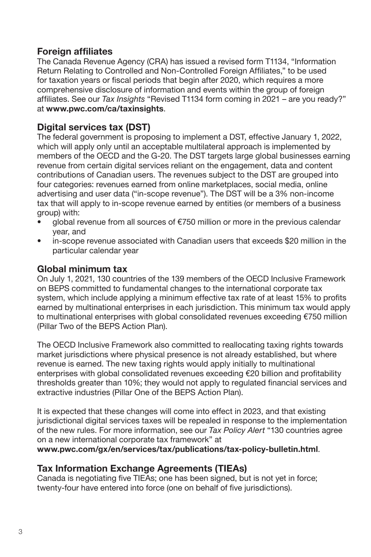## Foreign affiliates

The Canada Revenue Agency (CRA) has issued a revised form T1134, "Information Return Relating to Controlled and Non-Controlled Foreign Affiliates," to be used for taxation years or fiscal periods that begin after 2020, which requires a more comprehensive disclosure of information and events within the group of foreign affiliates. See our *Tax Insights* "Revised T1134 form coming in 2021 – are you ready?" at [www.pwc.com/ca/taxinsights](http://www.pwc.com/ca/taxinsights).

## Digital services tax (DST)

The federal government is proposing to implement a DST, effective January 1, 2022, which will apply only until an acceptable multilateral approach is implemented by members of the OECD and the G-20. The DST targets large global businesses earning revenue from certain digital services reliant on the engagement, data and content contributions of Canadian users. The revenues subject to the DST are grouped into four categories: revenues earned from online marketplaces, social media, online advertising and user data ("in-scope revenue"). The DST will be a 3% non-income tax that will apply to in-scope revenue earned by entities (or members of a business group) with:

- global revenue from all sources of €750 million or more in the previous calendar year, and
- in-scope revenue associated with Canadian users that exceeds \$20 million in the particular calendar year

## Global minimum tax

On July 1, 2021, 130 countries of the 139 members of the OECD Inclusive Framework on BEPS committed to fundamental changes to the international corporate tax system, which include applying a minimum effective tax rate of at least 15% to profits earned by multinational enterprises in each jurisdiction. This minimum tax would apply to multinational enterprises with global consolidated revenues exceeding €750 million (Pillar Two of the BEPS Action Plan).

The OECD Inclusive Framework also committed to reallocating taxing rights towards market jurisdictions where physical presence is not already established, but where revenue is earned. The new taxing rights would apply initially to multinational enterprises with global consolidated revenues exceeding €20 billion and profitability thresholds greater than 10%; they would not apply to regulated financial services and extractive industries (Pillar One of the BEPS Action Plan).

It is expected that these changes will come into effect in 2023, and that existing jurisdictional digital services taxes will be repealed in response to the implementation of the new rules. For more information, see our *Tax Policy Alert* "130 countries agree on a new international corporate tax framework" at

[www.pwc.com/gx/en/services/tax/publications/tax-policy-bulletin.html](https://www.pwc.com/gx/en/services/tax/publications/tax-policy-bulletin.html).

## Tax Information Exchange Agreements (TIEAs)

Canada is negotiating five TIEAs; one has been signed, but is not yet in force; twenty-four have entered into force (one on behalf of five jurisdictions).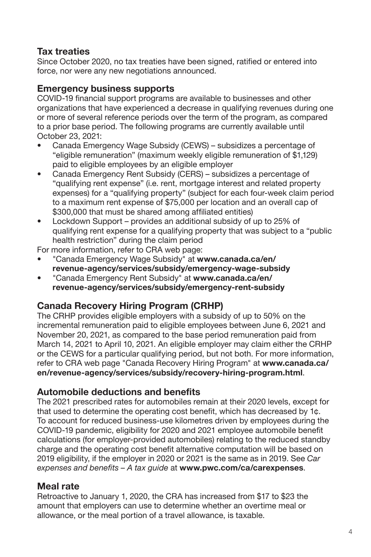## Tax treaties

Since October 2020, no tax treaties have been signed, ratified or entered into force, nor were any new negotiations announced.

## Emergency business supports

COVID-19 financial support programs are available to businesses and other organizations that have experienced a decrease in qualifying revenues during one or more of several reference periods over the term of the program, as compared to a prior base period. The following programs are currently available until October 23, 2021:

- Canada Emergency Wage Subsidy (CEWS) subsidizes a percentage of "eligible remuneration" (maximum weekly eligible remuneration of \$1,129) paid to eligible employees by an eligible employer
- Canada Emergency Rent Subsidy (CERS) subsidizes a percentage of "qualifying rent expense" (i.e. rent, mortgage interest and related property expenses) for a "qualifying property" (subject for each four-week claim period to a maximum rent expense of \$75,000 per location and an overall cap of \$300,000 that must be shared among affiliated entities)
- Lockdown Support provides an additional subsidy of up to 25% of qualifying rent expense for a qualifying property that was subject to a "public health restriction" during the claim period

For more information, refer to CRA web page:

- "Canada Emergency Wage Subsidy" at [www.canada.ca/en/](http://www.canada.ca/en/revenue-agency/services/subsidy/emergency-wage-subsidy) [revenue-agency/services/subsidy/emergency-wage-subsidy](http://www.canada.ca/en/revenue-agency/services/subsidy/emergency-wage-subsidy)
- "Canada Emergency Rent Subsidy" at [www.canada.ca/en/](http://www.canada.ca/en/revenue-agency/services/subsidy/emergency-rent-subsidy) [revenue-agency/services/subsidy/emergency-rent-subsidy](http://www.canada.ca/en/revenue-agency/services/subsidy/emergency-rent-subsidy)

## Canada Recovery Hiring Program (CRHP)

The CRHP provides eligible employers with a subsidy of up to 50% on the incremental remuneration paid to eligible employees between June 6, 2021 and November 20, 2021, as compared to the base period remuneration paid from March 14, 2021 to April 10, 2021. An eligible employer may claim either the CRHP or the CEWS for a particular qualifying period, but not both. For more information, refer to CRA web page "Canada Recovery Hiring Program" at [www.canada.ca/](http://www.canada.ca/en/revenue-agency/services/subsidy/recovery-hiring-program.html) [en/revenue-agency/services/subsidy/recovery-hiring-program.html](http://www.canada.ca/en/revenue-agency/services/subsidy/recovery-hiring-program.html).

## Automobile deductions and benefits

The 2021 prescribed rates for automobiles remain at their 2020 levels, except for that used to determine the operating cost benefit, which has decreased by 1¢. To account for reduced business-use kilometres driven by employees during the COVID-19 pandemic, eligibility for 2020 and 2021 employee automobile benefit calculations (for employer-provided automobiles) relating to the reduced standby charge and the operating cost benefit alternative computation will be based on 2019 eligibility, if the employer in 2020 or 2021 is the same as in 2019. See *Car*  expenses and benefits – A tax quide at [www.pwc.com/ca/carexpenses](http://www.pwc.com/ca/carexpenses).

## Meal rate

Retroactive to January 1, 2020, the CRA has increased from \$17 to \$23 the amount that employers can use to determine whether an overtime meal or allowance, or the meal portion of a travel allowance, is taxable.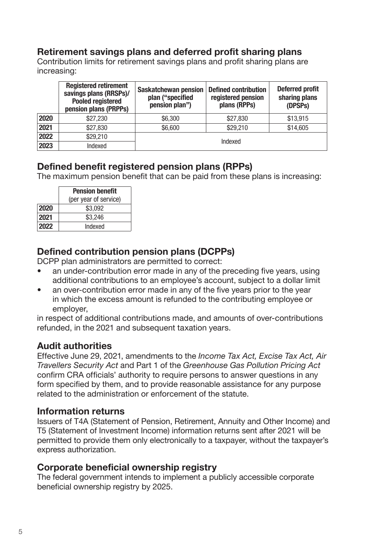## <span id="page-7-0"></span>Retirement savings plans and deferred profit sharing plans

Contribution limits for retirement savings plans and profit sharing plans are increasing:

|      | <b>Registered retirement</b><br>savings plans (RRSPs)/<br><b>Pooled registered</b><br>pension plans (PRPPs) | Saskatchewan pension<br>plan ("specified<br>pension plan") | <b>Defined contribution</b><br>registered pension<br>plans (RPPs) | <b>Deferred profit</b><br>sharing plans<br>(DPSPs) |
|------|-------------------------------------------------------------------------------------------------------------|------------------------------------------------------------|-------------------------------------------------------------------|----------------------------------------------------|
| 2020 | \$27,230                                                                                                    | \$6,300                                                    | \$27,830                                                          | \$13,915                                           |
| 2021 | \$27,830                                                                                                    | \$6.600                                                    | \$29,210                                                          | \$14,605                                           |
| 2022 | \$29,210                                                                                                    | Indexed                                                    |                                                                   |                                                    |
| 2023 | Indexed                                                                                                     |                                                            |                                                                   |                                                    |

## Defined benefit registered pension plans (RPPs)

The maximum pension benefit that can be paid from these plans is increasing:

|      | <b>Pension benefit</b> |  |  |
|------|------------------------|--|--|
|      | (per year of service)  |  |  |
| 2020 | \$3.092                |  |  |
| 2021 | \$3.246                |  |  |
| 2022 | Indexed                |  |  |

## Defined contribution pension plans (DCPPs)

DCPP plan administrators are permitted to correct:

- an under-contribution error made in any of the preceding five years, using additional contributions to an employee's account, subject to a dollar limit
- an over-contribution error made in any of the five years prior to the year in which the excess amount is refunded to the contributing employee or employer,

in respect of additional contributions made, and amounts of over-contributions refunded, in the 2021 and subsequent taxation years.

## Audit authorities

Effective June 29, 2021, amendments to the *Income Tax Act, Excise Tax Act, Air*  Travellers Security Act and Part 1 of the Greenhouse Gas Pollution Pricing Act confirm CRA officials' authority to require persons to answer questions in any form specified by them, and to provide reasonable assistance for any purpose related to the administration or enforcement of the statute.

## Information returns

Issuers of T4A (Statement of Pension, Retirement, Annuity and Other Income) and T5 (Statement of Investment Income) information returns sent after 2021 will be permitted to provide them only electronically to a taxpayer, without the taxpayer's express authorization.

## Corporate beneficial ownership registry

The federal government intends to implement a publicly accessible corporate beneficial ownership registry by 2025.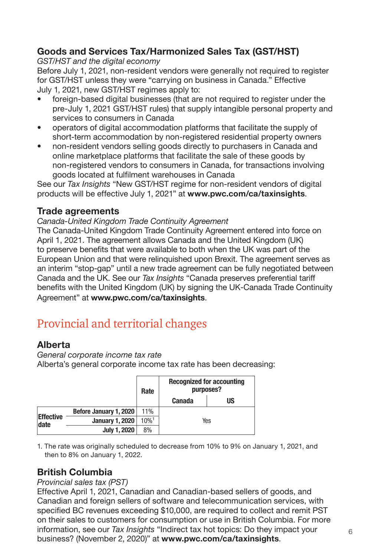## <span id="page-8-0"></span>Goods and Services Tax/Harmonized Sales Tax (GST/HST)

#### *GST/HST and the digital economy*

Before July 1, 2021, non-resident vendors were generally not required to register for GST/HST unless they were "carrying on business in Canada." Effective July 1, 2021, new GST/HST regimes apply to:

- foreign-based digital businesses (that are not required to register under the pre-July 1, 2021 GST/HST rules) that supply intangible personal property and services to consumers in Canada
- operators of digital accommodation platforms that facilitate the supply of short-term accommodation by non-registered residential property owners
- non-resident vendors selling goods directly to purchasers in Canada and online marketplace platforms that facilitate the sale of these goods by non-registered vendors to consumers in Canada, for transactions involving goods located at fulfilment warehouses in Canada

See our *Tax Insights* "New GST/HST regime for non-resident vendors of digital products will be effective July 1, 2021" at [www.pwc.com/ca/taxinsights](http://www.pwc.com/ca/taxinsights).

## Trade agreements

#### Canada-United Kingdom Trade Continuity Agreement

The Canada-United Kingdom Trade Continuity Agreement entered into force on April 1, 2021. The agreement allows Canada and the United Kingdom (UK) to preserve benefits that were available to both when the UK was part of the European Union and that were relinquished upon Brexit. The agreement serves as an interim "stop-gap" until a new trade agreement can be fully negotiated between Canada and the UK. See our *Tax Insights* "Canada preserves preferential tariff benefits with the United Kingdom (UK) by signing the UK-Canada Trade Continuity Agreement" at [www.pwc.com/ca/taxinsights](http://www.pwc.com/ca/taxinsights).

## Provincial and territorial changes

## Alberta

*General corporate income tax rate* Alberta's general corporate income tax rate has been decreasing:

|                          |                        | Rate                | <b>Recognized for accounting</b><br>purposes? |    |
|--------------------------|------------------------|---------------------|-----------------------------------------------|----|
|                          |                        |                     | Canada                                        | US |
|                          | Before January 1, 2020 | 11%                 | Yes                                           |    |
| <b>Effective</b><br>date | <b>January 1, 2020</b> | $10\%$ <sup>1</sup> |                                               |    |
|                          | <b>July 1, 2020</b>    | 8%                  |                                               |    |

1. The rate was originally scheduled to decrease from 10% to 9% on January 1, 2021, and then to 8% on January 1, 2022.

## British Columbia

### *Provincial sales tax (PST)*

Effective April 1, 2021, Canadian and Canadian-based sellers of goods, and Canadian and foreign sellers of software and telecommunication services, with specified BC revenues exceeding \$10,000, are required to collect and remit PST on their sales to customers for consumption or use in British Columbia. For more information, see our *Tax Insights* "Indirect tax hot topics: Do they impact your business? (November 2, 2020)" at [www.pwc.com/ca/taxinsights](http://www.pwc.com/ca/taxinsights).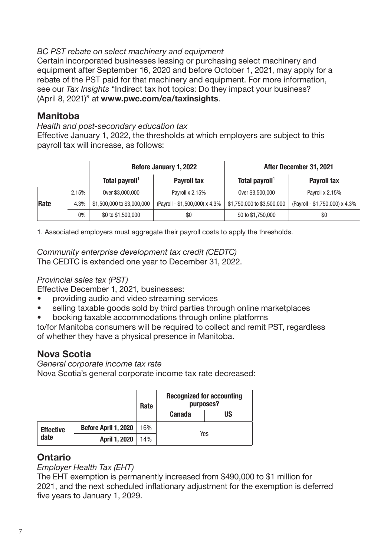#### <span id="page-9-0"></span>BC PST rebate on select machinery and equipment

Certain incorporated businesses leasing or purchasing select machinery and equipment after September 16, 2020 and before October 1, 2021, may apply for a rebate of the PST paid for that machinery and equipment. For more information, see our *Tax Insights* "Indirect tax hot topics: Do they impact your business? (April 8, 2021)" at [www.pwc.com/ca/taxinsights](http://www.pwc.com/ca/taxinsights).

### Manitoba

Health and post-secondary education tax

Effective January 1, 2022, the thresholds at which employers are subject to this payroll tax will increase, as follows:

|      |       | Before January 1, 2022<br>Total payroll <sup>1</sup><br>Payroll tax |                                | After December 31, 2021    |                                |
|------|-------|---------------------------------------------------------------------|--------------------------------|----------------------------|--------------------------------|
|      |       |                                                                     |                                | Total payroll <sup>1</sup> | Payroll tax                    |
|      | 2.15% | Over \$3,000,000                                                    | Payroll x 2.15%                | Over \$3,500,000           | Payroll x 2.15%                |
| Rate | 4.3%  | \$1,500,000 to \$3,000,000                                          | (Payroll - \$1,500,000) x 4.3% | \$1,750,000 to \$3,500,000 | (Payroll - \$1,750,000) x 4.3% |
|      | 0%    | \$0 to \$1,500,000                                                  | \$0                            | \$0 to \$1,750,000         | \$0                            |

1. Associated employers must aggregate their payroll costs to apply the thresholds.

Community enterprise development tax credit (CEDTC)

The CEDTC is extended one year to December 31, 2022.

### *Provincial sales tax (PST)*

Effective December 1, 2021, businesses:

- providing audio and video streaming services
- selling taxable goods sold by third parties through online marketplaces
- booking taxable accommodations through online platforms

to/for Manitoba consumers will be required to collect and remit PST, regardless of whether they have a physical presence in Manitoba.

## Nova Scotia

*General corporate income tax rate* Nova Scotia's general corporate income tax rate decreased:

|                  |                      | Rate | <b>Recognized for accounting</b><br>purposes? |    |
|------------------|----------------------|------|-----------------------------------------------|----|
|                  |                      |      | <b>Canada</b>                                 | US |
| <b>Effective</b> | Before April 1, 2020 | 16%  | Yes                                           |    |
| date             | April 1, 2020        | 14%  |                                               |    |

## Ontario

*Employer Health Tax (EHT)*

The EHT exemption is permanently increased from \$490,000 to \$1 million for 2021, and the next scheduled inflationary adjustment for the exemption is deferred five years to January 1, 2029.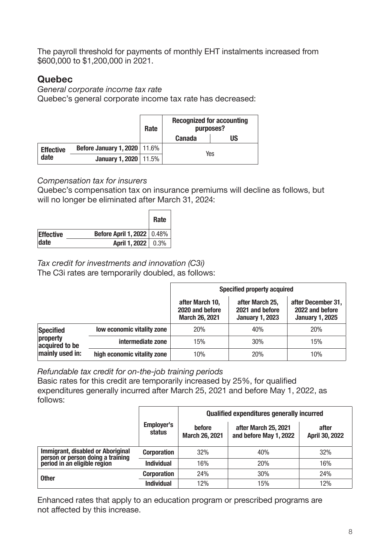<span id="page-10-0"></span>The payroll threshold for payments of monthly EHT instalments increased from \$600,000 to \$1,200,000 in 2021.

## Quebec

*General corporate income tax rate*  Quebec's general corporate income tax rate has decreased:

|                  |                                       | Rate | <b>Recognized for accounting</b><br>purposes? |    |
|------------------|---------------------------------------|------|-----------------------------------------------|----|
|                  |                                       |      | <b>Canada</b>                                 | US |
| <b>Effective</b> | <b>Before January 1, 2020</b>   11.6% |      | Yes                                           |    |
| date             | <b>January 1, 2020</b> 11.5%          |      |                                               |    |

## Compensation tax for insurers

Quebec's compensation tax on insurance premiums will decline as follows, but will no longer be eliminated after March 31, 2024:

|                  |                              | Rate |
|------------------|------------------------------|------|
| <b>Effective</b> | Before April 1, 2022   0.48% |      |
| date             | April 1, 2022   0.3%         |      |

## *Tax credit for investments and innovation (C3i)*

The C3i rates are temporarily doubled, as follows:

|                                               |                             | Specified property acquired                                 |                                                              |                                                                 |
|-----------------------------------------------|-----------------------------|-------------------------------------------------------------|--------------------------------------------------------------|-----------------------------------------------------------------|
|                                               |                             | after March 10,<br>2020 and before<br><b>March 26, 2021</b> | after March 25,<br>2021 and before<br><b>January 1, 2023</b> | after December 31,<br>2022 and before<br><b>January 1, 2025</b> |
| Specified                                     | low economic vitality zone  | 20%                                                         | 40%                                                          | 20%                                                             |
| property<br>acquired to be<br>mainly used in: | intermediate zone           | 15%                                                         | 30%                                                          | 15%                                                             |
|                                               | high economic vitality zone | 10%                                                         | 20%                                                          | 10%                                                             |

Refundable tax credit for on-the-job training periods

Basic rates for this credit are temporarily increased by 25%, for qualified expenditures generally incurred after March 25, 2021 and before May 1, 2022, as follows:

|                                                                                                        |                      | <b>Qualified expenditures generally incurred</b> |                                                |                         |
|--------------------------------------------------------------------------------------------------------|----------------------|--------------------------------------------------|------------------------------------------------|-------------------------|
|                                                                                                        | Employer's<br>status | before<br>March 26, 2021                         | after March 25, 2021<br>and before May 1, 2022 | after<br>April 30, 2022 |
| Immigrant, disabled or Aboriginal<br>person or person doing a training<br>period in an eligible region | <b>Corporation</b>   | 32%                                              | 40%                                            | 32%                     |
|                                                                                                        | <b>Individual</b>    | 16%                                              | 20%                                            | 16%                     |
| <b>Other</b>                                                                                           | <b>Corporation</b>   | 24%                                              | 30%                                            | 24%                     |
|                                                                                                        | <b>Individual</b>    | 12%                                              | 15%                                            | 12%                     |

Enhanced rates that apply to an education program or prescribed programs are not affected by this increase.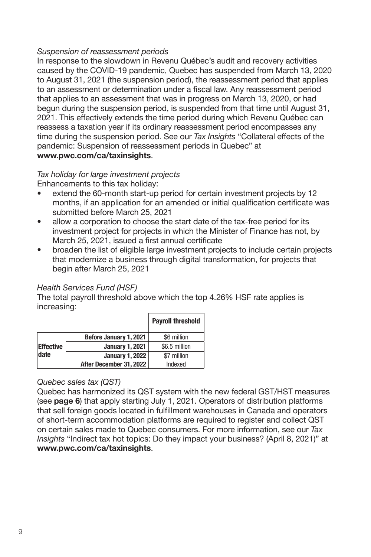#### <span id="page-11-0"></span>Suspension of reassessment periods

In response to the slowdown in Revenu Québec's audit and recovery activities caused by the COVID-19 pandemic, Quebec has suspended from March 13, 2020 to August 31, 2021 (the suspension period), the reassessment period that applies to an assessment or determination under a fiscal law. Any reassessment period that applies to an assessment that was in progress on March 13, 2020, or had begun during the suspension period, is suspended from that time until August 31, 2021. This effectively extends the time period during which Revenu Québec can reassess a taxation year if its ordinary reassessment period encompasses any time during the suspension period. See our *Tax Insights* "Collateral effects of the pandemic: Suspension of reassessment periods in Quebec" at [www.pwc.com/ca/taxinsights](http://www.pwc.com/ca/taxinsights).

## Tax holiday for large investment projects

Enhancements to this tax holiday:

- extend the 60-month start-up period for certain investment projects by 12 months, if an application for an amended or initial qualification certificate was submitted before March 25, 2021
- allow a corporation to choose the start date of the tax-free period for its investment project for projects in which the Minister of Finance has not, by March 25, 2021, issued a first annual certificate
- broaden the list of eligible large investment projects to include certain projects that modernize a business through digital transformation, for projects that begin after March 25, 2021

### Health Services Fund (HSF)

The total payroll threshold above which the top 4.26% HSF rate applies is increasing:

|                  |                         | <b>Payroll threshold</b> |
|------------------|-------------------------|--------------------------|
|                  | Before January 1, 2021  | \$6 million              |
| <b>Effective</b> | <b>January 1, 2021</b>  | \$6.5 million            |
| date             | <b>January 1, 2022</b>  | \$7 million              |
|                  | After December 31, 2022 | Indexed                  |

#### Quebec sales tax (QST)

Quebec has harmonized its QST system with the new federal GST/HST measures (see page [6](#page-8-0)) that apply starting July 1, 2021. Operators of distribution platforms that sell foreign goods located in fulfillment warehouses in Canada and operators of short-term accommodation platforms are required to register and collect QST on certain sales made to Quebec consumers. For more information, see our *Tax Insights* "Indirect tax hot topics: Do they impact your business? (April 8, 2021)" at [www.pwc.com/ca/taxinsights](http://www.pwc.com/ca/taxinsights).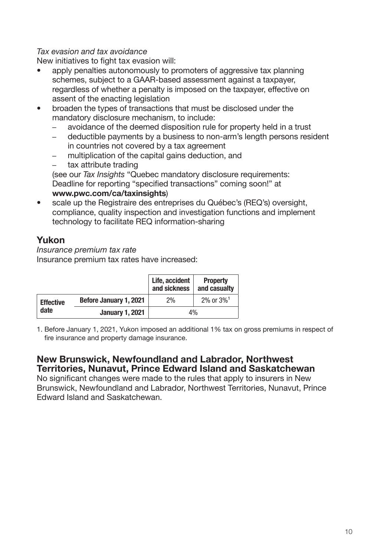#### <span id="page-12-0"></span>*Tax evasion and tax avoidance*

New initiatives to fight tax evasion will:

- apply penalties autonomously to promoters of aggressive tax planning schemes, subject to a GAAR-based assessment against a taxpayer, regardless of whether a penalty is imposed on the taxpayer, effective on assent of the enacting legislation
- broaden the types of transactions that must be disclosed under the mandatory disclosure mechanism, to include:
	- avoidance of the deemed disposition rule for property held in a trust
	- deductible payments by a business to non-arm's length persons resident in countries not covered by a tax agreement
	- multiplication of the capital gains deduction, and
	- tax attribute trading

(see our *Tax Insights* "Quebec mandatory disclosure requirements: Deadline for reporting "specified transactions" coming soon!" at [www.pwc.com/ca/taxinsights](http://www.pwc.com/ca/taxinsights))

• scale up the Registraire des entreprises du Québec's (REQ's) oversight, compliance, quality inspection and investigation functions and implement technology to facilitate REQ information-sharing

## Yukon

Insurance premium tax rate Insurance premium tax rates have increased:

|                          |                        | Life, accident<br>and sickness | <b>Property</b><br>and casualty |
|--------------------------|------------------------|--------------------------------|---------------------------------|
| <b>Effective</b><br>date | Before January 1, 2021 | 2%                             | $2\%$ or $3\%$ <sup>1</sup>     |
|                          | <b>January 1, 2021</b> | 4%                             |                                 |

1. Before January 1, 2021, Yukon imposed an additional 1% tax on gross premiums in respect of fire insurance and property damage insurance.

## New Brunswick, Newfoundland and Labrador, Northwest Territories, Nunavut, Prince Edward Island and Saskatchewan

No significant changes were made to the rules that apply to insurers in New Brunswick, Newfoundland and Labrador, Northwest Territories, Nunavut, Prince Edward Island and Saskatchewan.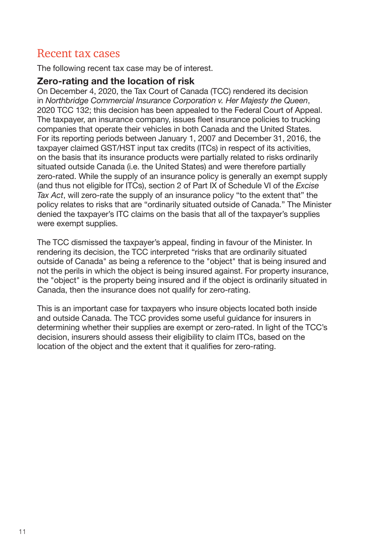## <span id="page-13-0"></span>Recent tax cases

The following recent tax case may be of interest.

## Zero-rating and the location of risk

On December 4, 2020, the Tax Court of Canada (TCC) rendered its decision in Northbridge Commercial Insurance Corporation v. Her Majesty the Queen, 2020 TCC 132; this decision has been appealed to the Federal Court of Appeal. The taxpayer, an insurance company, issues fleet insurance policies to trucking companies that operate their vehicles in both Canada and the United States. For its reporting periods between January 1, 2007 and December 31, 2016, the taxpayer claimed GST/HST input tax credits (ITCs) in respect of its activities, on the basis that its insurance products were partially related to risks ordinarily situated outside Canada (i.e. the United States) and were therefore partially zero-rated. While the supply of an insurance policy is generally an exempt supply (and thus not eligible for ITCs), section 2 of Part IX of Schedule VI of the *Excise Tax Act*, will zero-rate the supply of an insurance policy "to the extent that" the policy relates to risks that are "ordinarily situated outside of Canada." The Minister denied the taxpayer's ITC claims on the basis that all of the taxpayer's supplies were exempt supplies.

The TCC dismissed the taxpayer's appeal, finding in favour of the Minister. In rendering its decision, the TCC interpreted "risks that are ordinarily situated outside of Canada" as being a reference to the "object" that is being insured and not the perils in which the object is being insured against. For property insurance, the "object" is the property being insured and if the object is ordinarily situated in Canada, then the insurance does not qualify for zero-rating.

This is an important case for taxpayers who insure objects located both inside and outside Canada. The TCC provides some useful guidance for insurers in determining whether their supplies are exempt or zero-rated. In light of the TCC's decision, insurers should assess their eligibility to claim ITCs, based on the location of the object and the extent that it qualifies for zero-rating.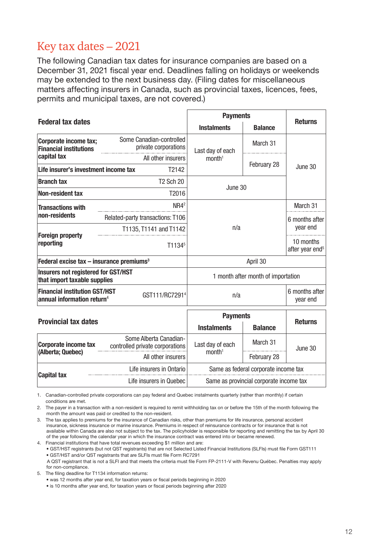## <span id="page-14-0"></span>Key tax dates – 2021

The following Canadian tax dates for insurance companies are based on a December 31, 2021 fiscal year end. Deadlines falling on holidays or weekends may be extended to the next business day. (Filing dates for miscellaneous matters affecting insurers in Canada, such as provincial taxes, licences, fees, permits and municipal taxes, are not covered.)

|                                                                                |  |                                                           | <b>Payments</b>                         |                                          |                |  |
|--------------------------------------------------------------------------------|--|-----------------------------------------------------------|-----------------------------------------|------------------------------------------|----------------|--|
| <b>Federal tax dates</b>                                                       |  |                                                           | <b>Instalments</b>                      | <b>Balance</b>                           | <b>Returns</b> |  |
| Corporate income tax;<br><b>Financial institutions</b>                         |  | Some Canadian-controlled<br>private corporations          | Last day of each                        | March 31                                 |                |  |
| capital tax                                                                    |  | All other insurers                                        | month <sup>1</sup>                      | February 28                              | June 30        |  |
| Life insurer's investment income tax                                           |  | T2142                                                     |                                         |                                          |                |  |
| <b>Branch tax</b>                                                              |  | <b>T2 Sch 20</b>                                          | June 30                                 |                                          |                |  |
| <b>Non-resident tax</b>                                                        |  | T2016                                                     |                                         |                                          |                |  |
| <b>Transactions with</b>                                                       |  | NR4 <sup>2</sup>                                          |                                         |                                          | March 31       |  |
| non-residents                                                                  |  | Related-party transactions: T106                          |                                         |                                          | 6 months after |  |
|                                                                                |  | T1135, T1141 and T1142                                    | n/a                                     | year end                                 |                |  |
| <b>Foreign property</b><br>reporting                                           |  | T1134 <sup>5</sup>                                        |                                         | 10 months<br>after year end <sup>5</sup> |                |  |
| Federal excise tax $-$ insurance premiums <sup>3</sup>                         |  |                                                           |                                         | April 30                                 |                |  |
| <b>Insurers not registered for GST/HST</b><br>that import taxable supplies     |  |                                                           | 1 month after month of importation      |                                          |                |  |
| <b>Financial institution GST/HST</b><br>annual information return <sup>4</sup> |  | GST111/RC7291 <sup>4</sup>                                | n/a                                     |                                          |                |  |
|                                                                                |  |                                                           |                                         | <b>Payments</b>                          |                |  |
| <b>Provincial tax dates</b>                                                    |  |                                                           | <b>Instalments</b>                      | <b>Balance</b>                           | <b>Returns</b> |  |
| <b>Corporate income tax</b>                                                    |  | Some Alberta Canadian-<br>controlled private corporations | Last day of each                        | March 31                                 | June 30        |  |
| (Alberta; Quebec)                                                              |  | All other insurers                                        | month <sup>1</sup>                      | February 28                              |                |  |
|                                                                                |  | Life insurers in Ontario                                  | Same as federal corporate income tax    |                                          |                |  |
| <b>Capital tax</b>                                                             |  | Life insurers in Quebec                                   | Same as provincial corporate income tax |                                          |                |  |

1. Canadian-controlled private corporations can pay federal and Quebec instalments quarterly (rather than monthly) if certain conditions are met.

2. The payer in a transaction with a non-resident is required to remit withholding tax on or before the 15th of the month following the month the amount was paid or credited to the non-resident.

3. The tax applies to premiums for the insurance of Canadian risks, other than premiums for life insurance, personal accident insurance, sickness insurance or marine insurance. Premiums in respect of reinsurance contracts or for insurance that is not available within Canada are also not subject to the tax. The policyholder is responsible for reporting and remitting the tax by April 30 of the year following the calendar year in which the insurance contract was entered into or became renewed.

4. Financial institutions that have total revenues exceeding \$1 million and are: • GST/HST registrants (but not QST registrants) that are not Selected Listed Financial Institutions (SLFIs) must file Form GST111

• GST/HST and/or QST registrants that are SLFIs must file Form RC7291

 A QST registrant that is not a SLFI and that meets the criteria must file Form FP-2111-V with Revenu Québec. Penalties may apply for non-compliance.

5. The filing deadline for T1134 information returns:

• was 12 months after year end, for taxation years or fiscal periods beginning in 2020

• is 10 months after year end, for taxation years or fiscal periods beginning after 2020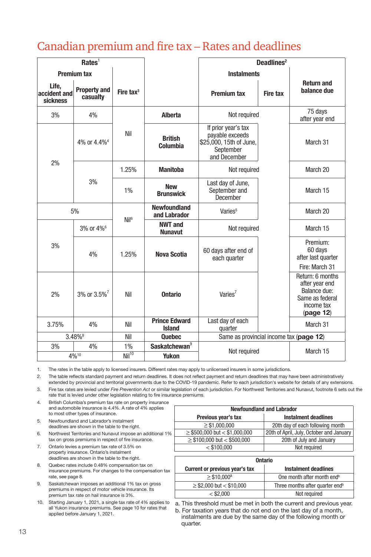## <span id="page-15-0"></span>Canadian premium and fire tax – Rates and deadlines

| Rates <sup>1</sup>                |                                 |                       |                                       | Deadlines <sup>2</sup>                                                                         |                 |                                                                                                 |
|-----------------------------------|---------------------------------|-----------------------|---------------------------------------|------------------------------------------------------------------------------------------------|-----------------|-------------------------------------------------------------------------------------------------|
|                                   | <b>Premium tax</b>              |                       |                                       | <b>Instalments</b>                                                                             |                 |                                                                                                 |
| Life.<br>accident and<br>sickness | <b>Property and</b><br>casualty | Fire tax <sup>3</sup> |                                       | <b>Premium tax</b>                                                                             | <b>Fire tax</b> | <b>Return and</b><br>balance due                                                                |
| 3%                                | 4%                              |                       | Alberta                               | Not required                                                                                   |                 | 75 days<br>after year end                                                                       |
|                                   | 4% or 4.4% <sup>4</sup>         | Nil                   | <b>British</b><br>Columbia            | If prior year's tax<br>payable exceeds<br>\$25,000, 15th of June,<br>September<br>and December |                 | March 31                                                                                        |
| 2%                                |                                 | 1.25%                 | <b>Manitoba</b>                       | Not required                                                                                   |                 | March 20                                                                                        |
|                                   | 3%                              | 1%                    | <b>New</b><br><b>Brunswick</b>        | Last day of June,<br>September and<br>December                                                 |                 | March 15                                                                                        |
| 5%                                |                                 | Nil <sup>6</sup>      | <b>Newfoundland</b><br>and Labrador   | Varies <sup>5</sup>                                                                            |                 | March 20                                                                                        |
|                                   | 3% or 4% <sup>6</sup>           |                       | <b>NWT and</b><br><b>Nunavut</b>      | Not required                                                                                   |                 | March 15                                                                                        |
| 3%                                | 4%                              | 1.25%                 | <b>Nova Scotia</b>                    | 60 days after end of<br>each quarter                                                           |                 | Premium:<br>60 days<br>after last quarter<br>Fire: March 31                                     |
| 2%                                | 3% or 3.5% <sup>7</sup>         | Nil                   | <b>Ontario</b>                        | Varies <sup>7</sup>                                                                            |                 | Return: 6 months<br>after year end<br>Balance due:<br>Same as federal<br>income tax<br>page 12) |
| 3.75%                             | 4%                              | Nil                   | <b>Prince Edward</b><br><b>Island</b> | Last day of each<br>quarter                                                                    |                 | March 31                                                                                        |
| 3.48%8                            |                                 | Nil                   | <b>Quebec</b>                         | Same as provincial income tax (page 12)                                                        |                 |                                                                                                 |
| 3%                                | 4%                              | 1%                    | Saskatchewan <sup>9</sup>             |                                                                                                |                 | March 15                                                                                        |
| 4%10                              |                                 | Ni <sup>10</sup>      | <b>Yukon</b>                          | Not required                                                                                   |                 |                                                                                                 |

1. The rates in the table apply to licensed insurers. Different rates may apply to unlicensed insurers in some jurisdictions.

2. The table reflects standard payment and return deadlines. It does not reflect payment and return deadlines that may have been administratively

extended by provincial and territorial governments due to the COVID-19 pandemic. Refer to each jurisdiction's website for details of any extensions. 3. Fire tax rates are levied under *Fire Prevention Act* or similar legislation of each jurisdiction. For Northwest Territories and Nunavut, footnote 6 sets out the rate that is levied under other legislation relating to fire insurance premiums.

4. British Columbia's premium tax rate on property insurance and automobile insurance is 4.4%. A rate of 4% applies to most other types of insurance.

- 5. Newfoundland and Labrador's instalment deadlines are shown in the table to the right.
- 6. Northwest Territories and Nunavut impose an additional 1% tax on gross premiums in respect of fire insurance.
- 7. Ontario levies a premium tax rate of 3.5% on property insurance. Ontario's instalment deadlines are shown in the table to the right.
- 8. Quebec rates include 0.48% compensation tax on insurance premiums. For changes to the compensation tax rate, see [page](#page-9-0) [8](#page-10-0)[.](#page-9-0)
- 9. Saskatchewan imposes an additional 1% tax on gross premiums in respect of motor vehicle insurance. Its premium tax rate on hail insurance is 3%.
- 10. Starting January 1, 2021, a single tax rate of 4% applies to all Yukon insurance premiums. See page [10](#page-12-0) for rates that applied before January 1, 2021.

| <b>Newfoundland and Labrador</b>                   |                                          |  |  |  |  |  |
|----------------------------------------------------|------------------------------------------|--|--|--|--|--|
| Previous year's tax<br><b>Instalment deadlines</b> |                                          |  |  |  |  |  |
| $\geq$ \$1.000.000                                 | 20th day of each following month         |  |  |  |  |  |
| $\geq$ \$500,000 but < \$1,000,000                 | 20th of April, July, October and January |  |  |  |  |  |
| $\geq$ \$100,000 but < \$500,000                   | 20th of July and January                 |  |  |  |  |  |
| $<$ \$100.000                                      | Not required                             |  |  |  |  |  |
|                                                    |                                          |  |  |  |  |  |

| <b>Ontario</b>                              |  |  |  |  |  |
|---------------------------------------------|--|--|--|--|--|
| <b>Instalment deadlines</b>                 |  |  |  |  |  |
| One month after month end <sup>b</sup>      |  |  |  |  |  |
| Three months after quarter end <sup>b</sup> |  |  |  |  |  |
| Not required                                |  |  |  |  |  |
|                                             |  |  |  |  |  |

a. This threshold must be met in both the current and previous year.

b. For taxation years that do not end on the last day of a month, instalments are due by the same day of the following month or quarter.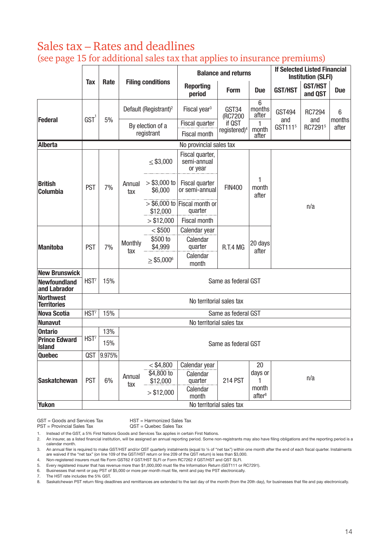## <span id="page-16-0"></span>Sales tax – Rates and deadlines (see page 15 for additional sales tax that applies to insurance premiums)

|                                        |                          |        |                                |                                       |                                                  | <b>Balance and returns</b>         |                             |                            | <b>If Selected Listed Financial</b><br><b>Institution (SLFI)</b> |                 |
|----------------------------------------|--------------------------|--------|--------------------------------|---------------------------------------|--------------------------------------------------|------------------------------------|-----------------------------|----------------------------|------------------------------------------------------------------|-----------------|
|                                        | Tax                      | Rate   | <b>Filing conditions</b>       |                                       | <b>Reporting</b><br>period                       | Form                               | <b>Due</b>                  | <b>GST/HST</b>             | <b>GST/HST</b><br>and OST                                        | <b>Due</b>      |
|                                        |                          |        |                                | Default (Registrant) <sup>2</sup>     | Fiscal year <sup>3</sup>                         | GST34<br>(RC7200                   | 6<br>months<br>after        | <b>GST494</b>              | RC7294                                                           | 6               |
| Federal                                | GST <sup>1</sup>         | 5%     | By election of a<br>registrant |                                       | Fiscal quarter<br><b>Fiscal month</b>            | if QST<br>registered) <sup>4</sup> | 1<br>month<br>after         | and<br>GST111 <sup>5</sup> | and<br>RC72915                                                   | months<br>after |
| Alberta                                |                          |        |                                |                                       | No provincial sales tax                          |                                    |                             |                            |                                                                  |                 |
|                                        |                          |        |                                | $<$ \$3,000                           | Fiscal quarter,<br>semi-annual<br>or year        |                                    |                             |                            |                                                                  |                 |
| <b>British</b><br>Columbia             | <b>PST</b>               | 7%     | Annual<br>tax                  | $> $3,000$ to<br>\$6.000              | Fiscal quarter<br>or semi-annual                 | <b>FIN400</b>                      | 1<br>month<br>after         | n/a                        |                                                                  |                 |
|                                        |                          |        |                                | \$12,000                              | $>$ \$6,000 to Fiscal month or<br>quarter        |                                    |                             |                            |                                                                  |                 |
|                                        |                          |        |                                | > \$12,000                            | Fiscal month                                     |                                    |                             |                            |                                                                  |                 |
|                                        | PST                      | 7%     | Monthly<br>tax                 | $<$ \$500                             | Calendar year                                    | R.T.4 MG                           | 20 days<br>after            |                            |                                                                  |                 |
| <b>Manitoba</b>                        |                          |        |                                | \$500 to<br>\$4,999                   | Calendar<br>quarter                              |                                    |                             |                            |                                                                  |                 |
|                                        |                          |        |                                | $>$ \$5,000 $^{\circ}$                | Calendar<br>month                                |                                    |                             |                            |                                                                  |                 |
| <b>New Brunswick</b>                   |                          |        |                                |                                       |                                                  |                                    |                             |                            |                                                                  |                 |
| <b>Newfoundland</b><br>and Labrador    | HST <sup>7</sup>         | 15%    |                                |                                       |                                                  | Same as federal GST                |                             |                            |                                                                  |                 |
| <b>Northwest</b><br><b>Territories</b> |                          |        |                                |                                       | No territorial sales tax                         |                                    |                             |                            |                                                                  |                 |
| <b>Nova Scotia</b>                     | HST <sup>7</sup>         | 15%    |                                |                                       |                                                  | Same as federal GST                |                             |                            |                                                                  |                 |
| <b>Nunavut</b>                         |                          |        |                                |                                       | No territorial sales tax                         |                                    |                             |                            |                                                                  |                 |
| <b>Ontario</b>                         |                          | 13%    |                                |                                       |                                                  |                                    |                             |                            |                                                                  |                 |
| <b>Prince Edward</b><br><b>Island</b>  | HST <sup>7</sup>         | 15%    |                                |                                       |                                                  | Same as federal GST                |                             |                            |                                                                  |                 |
| <b>Quebec</b>                          | <b>QST</b>               | 9.975% |                                |                                       |                                                  |                                    |                             |                            |                                                                  |                 |
| <b>Saskatchewan</b>                    | PST                      | 6%     | Annual<br>tax                  | $<$ \$4,800<br>\$4,800 to<br>\$12,000 | Calendar year<br>Calendar<br>quarter<br>Calendar | 214 PST                            | 20<br>days or<br>1<br>month |                            | n/a                                                              |                 |
| <b>Yukon</b>                           |                          |        |                                | > \$12,000                            | month                                            |                                    | after <sup>8</sup>          |                            |                                                                  |                 |
|                                        | No territorial sales tax |        |                                |                                       |                                                  |                                    |                             |                            |                                                                  |                 |

PST = Provincial Sales Tax QST = Quebec Sales Tax

1. Instead of the GST, a 5% First Nations Goods and Services Tax applies in certain First Nations.

2. An insurer, as a listed financial institution, will be assigned an annual reporting period. Some non-registrants may also have filing obligations and the reporting period is a calendar month.

3. An annual filer is required to make GST/HST and/or QST quarterly instalments (equal to ¼ of "net tax") within one month after the end of each fiscal quarter. Instalments are waived if the "net tax" (on line 109 of the GST/HST return or line 209 of the QST return) is less than \$3,000.

4. Non-registered insurers must file Form GST62 if GST/HST SLFI or Form RC7262 if GST/HST and QST SLFI.

5. Every registered insurer that has revenue more than \$1,000,000 must file the Information Return (GST111 or RC7291).

6. Businesses that remit or pay PST of \$5,000 or more per month must file, remit and pay the PST electronically.

7. The HST rate includes the 5% GST. 8. Saskatchewan PST return filing deadlines and remittances are extended to the last day of the month (from the 20th day), for businesses that file and pay electronically.

GST = Goods and Services Tax HST = Harmonized Sales Tax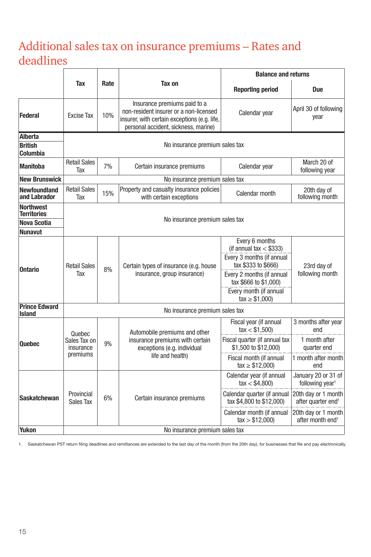## <span id="page-17-0"></span>Additional sales tax on insurance premiums – Rates and deadlines

|                                        |                                |      |                                                                                                                                                                |                                                                                                                              | <b>Balance and returns</b>                            |  |  |
|----------------------------------------|--------------------------------|------|----------------------------------------------------------------------------------------------------------------------------------------------------------------|------------------------------------------------------------------------------------------------------------------------------|-------------------------------------------------------|--|--|
|                                        | Tax                            | Rate | Tax on                                                                                                                                                         | <b>Reporting period</b>                                                                                                      | <b>Due</b>                                            |  |  |
| Federal                                | <b>Excise Tax</b>              | 10%  | Insurance premiums paid to a<br>non-resident insurer or a non-licensed<br>insurer, with certain exceptions (e.g. life,<br>personal accident, sickness, marine) | Calendar year                                                                                                                | April 30 of following<br>year                         |  |  |
| <b>Alberta</b>                         |                                |      |                                                                                                                                                                |                                                                                                                              |                                                       |  |  |
| <b>British</b><br>Columbia             |                                |      | No insurance premium sales tax                                                                                                                                 |                                                                                                                              |                                                       |  |  |
| <b>Manitoba</b>                        | <b>Retail Sales</b><br>Tax     | 7%   | Certain insurance premiums                                                                                                                                     | Calendar year                                                                                                                | March 20 of<br>following year                         |  |  |
| <b>New Brunswick</b>                   |                                |      | No insurance premium sales tax                                                                                                                                 |                                                                                                                              |                                                       |  |  |
| <b>Newfoundland</b><br>and Labrador    | <b>Retail Sales</b><br>Tax     | 15%  | Property and casualty insurance policies<br>with certain exceptions                                                                                            | Calendar month                                                                                                               | 20th day of<br>following month                        |  |  |
| <b>Northwest</b><br><b>Territories</b> |                                |      |                                                                                                                                                                |                                                                                                                              |                                                       |  |  |
| <b>Nova Scotia</b>                     |                                |      | No insurance premium sales tax                                                                                                                                 |                                                                                                                              |                                                       |  |  |
| <b>Nunavut</b>                         |                                |      |                                                                                                                                                                |                                                                                                                              |                                                       |  |  |
| <b>Ontario</b>                         | <b>Retail Sales</b><br>Tax     | 8%   | Certain types of insurance (e.g. house<br>insurance, group insurance)                                                                                          | Every 6 months<br>(if annual $tax < $333$ )<br>Every 3 months (if annual<br>tax \$333 to \$666)<br>Every 2 months (if annual | 23rd day of<br>following month                        |  |  |
|                                        |                                |      |                                                                                                                                                                | tax \$666 to \$1,000)<br>Every month (if annual<br>$\text{tax} \geq $1,000$                                                  |                                                       |  |  |
| <b>Prince Edward</b><br><b>Island</b>  |                                |      | No insurance premium sales tax                                                                                                                                 |                                                                                                                              |                                                       |  |  |
|                                        | Quebec                         |      | Automobile premiums and other                                                                                                                                  | Fiscal year (if annual<br>tax < \$1,500                                                                                      | 3 months after year<br>end                            |  |  |
| <b>Quebec</b>                          | Sales Tax on<br>insurance      | 9%   | insurance premiums with certain<br>exceptions (e.g. individual                                                                                                 | Fiscal quarter (if annual tax<br>\$1,500 to \$12,000)                                                                        | 1 month after<br>quarter end                          |  |  |
|                                        | premiums                       |      | life and health)                                                                                                                                               | Fiscal month (if annual<br>$\text{tax} \geq $12,000$                                                                         | 1 month after month<br>end                            |  |  |
|                                        |                                |      | Certain insurance premiums                                                                                                                                     | Calendar year (if annual<br>tax < \$4,800                                                                                    | January 20 or 31 of<br>following year <sup>1</sup>    |  |  |
| <b>Saskatchewan</b>                    | Provincial<br>Sales Tax        | 6%   |                                                                                                                                                                | Calendar quarter (if annual<br>tax \$4,800 to \$12,000)                                                                      | 20th day or 1 month<br>after quarter end <sup>1</sup> |  |  |
|                                        |                                |      |                                                                                                                                                                | Calendar month (if annual<br>tax > \$12,000                                                                                  | 20th day or 1 month<br>after month end <sup>1</sup>   |  |  |
| <b>Yukon</b>                           | No insurance premium sales tax |      |                                                                                                                                                                |                                                                                                                              |                                                       |  |  |

1. Saskatchewan PST return filing deadlines and remittances are extended to the last day of the month (from the 20th day), for businesses that file and pay electronically.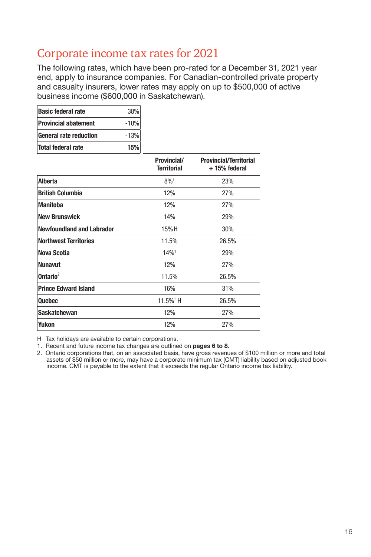## <span id="page-18-0"></span>Corporate income tax rates for 2021

The following rates, which have been pro-rated for a December 31, 2021 year end, apply to insurance companies. For Canadian-controlled private property and casualty insurers, lower rates may apply on up to \$500,000 of active business income (\$600,000 in Saskatchewan).

| <b>Basic federal rate</b>     | 38%    |
|-------------------------------|--------|
| <b>Provincial abatement</b>   | $-10%$ |
| <b>General rate reduction</b> | $-13%$ |
| Total federal rate            | 15%    |

|                                  | Provincial/<br><b>Territorial</b> | <b>Provincial/Territorial</b><br>+15% federal |
|----------------------------------|-----------------------------------|-----------------------------------------------|
| Alberta                          | $8\%1$                            | 23%                                           |
| <b>British Columbia</b>          | 12%                               | 27%                                           |
| <b>Manitoba</b>                  | 12%                               | 27%                                           |
| <b>New Brunswick</b>             | 14%                               | 29%                                           |
| <b>Newfoundland and Labrador</b> | 15%H                              | 30%                                           |
| <b>Northwest Territories</b>     | 11.5%                             | 26.5%                                         |
| <b>Nova Scotia</b>               | 14%                               | 29%                                           |
| <b>Nunavut</b>                   | 12%                               | 27%                                           |
| Ontario <sup>2</sup>             | 11.5%                             | 26.5%                                         |
| <b>Prince Edward Island</b>      | 16%                               | 31%                                           |
| <b>Quebec</b>                    | 11.5% <sup>1</sup> H              | 26.5%                                         |
| <b>Saskatchewan</b>              | 12%                               | 27%                                           |
| Yukon                            | 12%                               | 27%                                           |

H Tax holidays are available to certain corporations.

1. Recent and future income tax changes are outlined on [pages 6](#page-8-0) to [8](#page-10-0)[.](#page-11-0)

2. Ontario corporations that, on an associated basis, have gross revenues of \$100 million or more and total assets of \$50 million or more, may have a corporate minimum tax (CMT) liability based on adjusted book income. CMT is payable to the extent that it exceeds the regular Ontario income tax liability.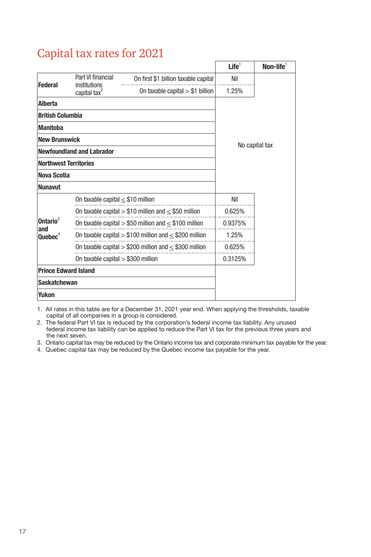## <span id="page-19-0"></span>Capital tax rates for 2021

|                              |                                        |                                                            | Life <sup>1</sup> | $\textsf{Non-life}^1$ |  |
|------------------------------|----------------------------------------|------------------------------------------------------------|-------------------|-----------------------|--|
| <b>Federal</b>               | Part VI financial<br>institutions      | On first \$1 billion taxable capital                       | Nil               |                       |  |
|                              | capital tax <sup>2</sup>               | On taxable capital $> $1$ billion                          | 1.25%             |                       |  |
| <b>Alberta</b>               |                                        |                                                            |                   |                       |  |
| <b>British Columbia</b>      |                                        |                                                            |                   |                       |  |
| <b>Manitoba</b>              |                                        |                                                            |                   |                       |  |
| <b>New Brunswick</b>         |                                        |                                                            | No capital tax    |                       |  |
|                              | <b>Newfoundland and Labrador</b>       |                                                            |                   |                       |  |
| <b>Northwest Territories</b> |                                        |                                                            |                   |                       |  |
| Nova Scotia                  |                                        |                                                            |                   |                       |  |
| <b>Nunavut</b>               |                                        |                                                            |                   |                       |  |
|                              | On taxable capital $\leq$ \$10 million |                                                            | Nil               |                       |  |
|                              |                                        | On taxable capital $> $10$ million and $< $50$ million     | 0.625%            |                       |  |
| Ontario <sup>3</sup><br>and  |                                        | On taxable capital > \$50 million and $\leq$ \$100 million | 0.9375%           |                       |  |
| $\mathbf{Quebec}^4$          |                                        | On taxable capital $> $100$ million and $< $200$ million   | 1.25%             |                       |  |
|                              |                                        | On taxable capital $>$ \$200 million and $<$ \$300 million | 0.625%            |                       |  |
|                              | On taxable capital $> $300$ million    |                                                            | 0.3125%           |                       |  |
| <b>Prince Edward Island</b>  |                                        |                                                            |                   |                       |  |
| <b>Saskatchewan</b>          |                                        |                                                            |                   |                       |  |
| Yukon                        |                                        |                                                            |                   |                       |  |

1. All rates in this table are for a December 31, 2021 year end. When applying the thresholds, taxable capital of all companies in a group is considered.

2. The federal Part VI tax is reduced by the corporation's federal income tax liability. Any unused federal income tax liability can be applied to reduce the Part VI tax for the previous three years and the next seven.

3. Ontario capital tax may be reduced by the Ontario income tax and corporate minimum tax payable for the year.

4. Quebec capital tax may be reduced by the Quebec income tax payable for the year.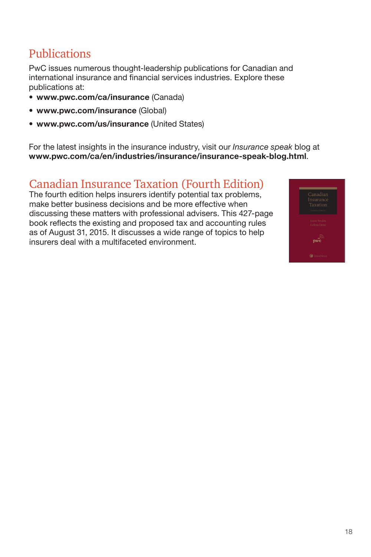## <span id="page-20-0"></span>Publications

PwC issues numerous thought-leadership publications for Canadian and international insurance and financial services industries. Explore these publications at:

- [www.pwc.com/ca/insurance](http://www.pwc.com/ca/insurance) (Canada)
- [www.pwc.com/insurance](http://www.pwc.com/insurance) (Global)
- [www.pwc.com/us/insurance](http://www.pwc.com/us/insurance) (United States)

For the latest insights in the insurance industry, visit our Insurance speak blog at [www.pwc.com/ca/en/industries/insurance/insurance-speak-blog.](http://www.pwc.com/ca/en/industries/insurance/insurance-speak-blog.html)html.

## Canadian Insurance Taxation (Fourth Edition)

The fourth edition helps insurers identify potential tax problems, make better business decisions and be more effective when discussing these matters with professional advisers. This 427-page book reflects the existing and proposed tax and accounting rules as of August 31, 2015. It discusses a wide range of topics to help insurers deal with a multifaceted environment.